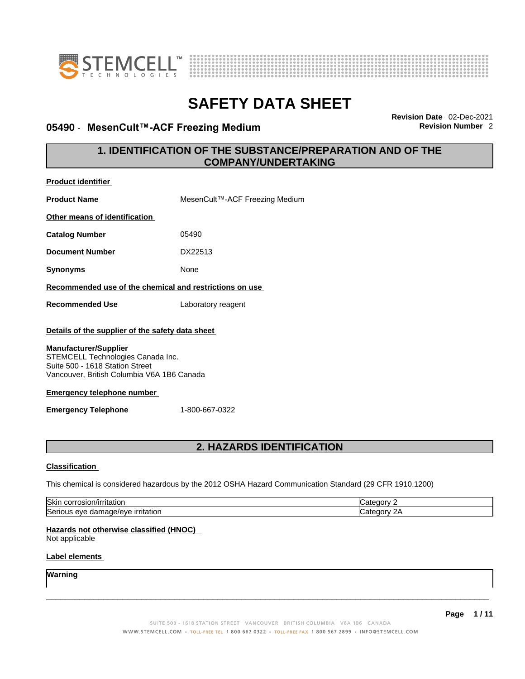



### **05490 · MesenCult™-ACF Freezing Medium**

**Revision Date** 02-Dec-2021

### **1. IDENTIFICATION OF THE SUBSTANCE/PREPARATION AND OF THE COMPANY/UNDERTAKING**

| <b>Product identifier</b>                                                                                                                          |                                                                                                         |            |  |
|----------------------------------------------------------------------------------------------------------------------------------------------------|---------------------------------------------------------------------------------------------------------|------------|--|
| <b>Product Name</b>                                                                                                                                | MesenCult™-ACF Freezing Medium                                                                          |            |  |
| Other means of identification                                                                                                                      |                                                                                                         |            |  |
| <b>Catalog Number</b>                                                                                                                              | 05490                                                                                                   |            |  |
| <b>Document Number</b>                                                                                                                             | DX22513                                                                                                 |            |  |
| <b>Synonyms</b>                                                                                                                                    | None                                                                                                    |            |  |
| Recommended use of the chemical and restrictions on use                                                                                            |                                                                                                         |            |  |
| <b>Recommended Use</b>                                                                                                                             | Laboratory reagent                                                                                      |            |  |
| Details of the supplier of the safety data sheet                                                                                                   |                                                                                                         |            |  |
| <b>Manufacturer/Supplier</b><br>STEMCELL Technologies Canada Inc.<br>Suite 500 - 1618 Station Street<br>Vancouver, British Columbia V6A 1B6 Canada |                                                                                                         |            |  |
| <b>Emergency telephone number</b>                                                                                                                  |                                                                                                         |            |  |
| <b>Emergency Telephone</b>                                                                                                                         | 1-800-667-0322                                                                                          |            |  |
|                                                                                                                                                    |                                                                                                         |            |  |
|                                                                                                                                                    | 2. HAZARDS IDENTIFICATION                                                                               |            |  |
| <b>Classification</b>                                                                                                                              |                                                                                                         |            |  |
|                                                                                                                                                    | This chemical is considered hazardous by the 2012 OSHA Hazard Communication Standard (29 CFR 1910.1200) |            |  |
| Skin corrosion/irritation                                                                                                                          |                                                                                                         | Category 2 |  |
| Serious eye damage/eye irritation<br>Category 2A                                                                                                   |                                                                                                         |            |  |
| Hazards not otherwise classified (HNOC)<br>Not applicable                                                                                          |                                                                                                         |            |  |
| Label elements                                                                                                                                     |                                                                                                         |            |  |
| Warning                                                                                                                                            |                                                                                                         |            |  |
|                                                                                                                                                    |                                                                                                         |            |  |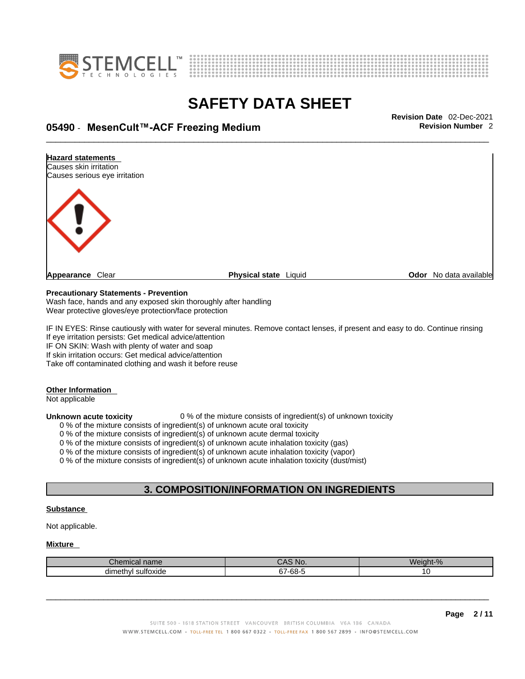



## \_\_\_\_\_\_\_\_\_\_\_\_\_\_\_\_\_\_\_\_\_\_\_\_\_\_\_\_\_\_\_\_\_\_\_\_\_\_\_\_\_\_\_\_\_\_\_\_\_\_\_\_\_\_\_\_\_\_\_\_\_\_\_\_\_\_\_\_\_\_\_\_\_\_\_\_\_\_\_\_\_\_\_\_\_\_\_\_\_\_\_\_\_ **Revision Date** 02-Dec-2021 **05490** - **MesenCult™-ACF Freezing Medium Revision Number** 2



#### **Precautionary Statements - Prevention**

Wash face, hands and any exposed skin thoroughly after handling Wear protective gloves/eye protection/face protection

IF IN EYES: Rinse cautiously with water for several minutes. Remove contact lenses, if present and easy to do. Continue rinsing If eye irritation persists: Get medical advice/attention

IF ON SKIN: Wash with plenty of water and soap

If skin irritation occurs: Get medical advice/attention

#### Take off contaminated clothing and wash it before reuse

#### **Other Information**

Not applicable

**Unknown acute toxicity** 0 % of the mixture consists of ingredient(s) of unknown toxicity

0 % of the mixture consists of ingredient(s) of unknown acute oral toxicity

0 % of the mixture consists of ingredient(s) of unknown acute dermal toxicity

0 % of the mixture consists of ingredient(s) of unknown acute inhalation toxicity (gas)

0 % of the mixture consists of ingredient(s) of unknown acute inhalation toxicity (vapor)

0 % of the mixture consists of ingredient(s) of unknown acute inhalation toxicity (dust/mist)

#### **3. COMPOSITION/INFORMATION ON INGREDIENTS**

#### **Substance**

Not applicable.

#### **Mixture**

| Chemical name         | CAS No.               | .<br>$\Omega$<br>Weid |
|-----------------------|-----------------------|-----------------------|
| sultoxide<br>dimethyl | -68-<br>$\sim$<br>J 1 |                       |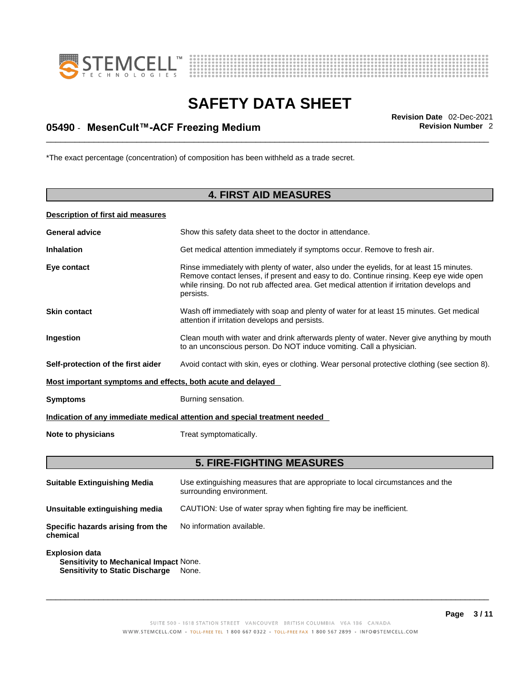



## \_\_\_\_\_\_\_\_\_\_\_\_\_\_\_\_\_\_\_\_\_\_\_\_\_\_\_\_\_\_\_\_\_\_\_\_\_\_\_\_\_\_\_\_\_\_\_\_\_\_\_\_\_\_\_\_\_\_\_\_\_\_\_\_\_\_\_\_\_\_\_\_\_\_\_\_\_\_\_\_\_\_\_\_\_\_\_\_\_\_\_\_\_ **Revision Date** 02-Dec-2021 **05490** - **MesenCult™-ACF Freezing Medium Revision Number** 2

\*The exact percentage (concentration) of composition has been withheld as a trade secret.

### **4. FIRST AID MEASURES**

#### **Description of first aid measures**

| <b>General advice</b>                                                      | Show this safety data sheet to the doctor in attendance.                                                                                                                                                                                                                                     |  |
|----------------------------------------------------------------------------|----------------------------------------------------------------------------------------------------------------------------------------------------------------------------------------------------------------------------------------------------------------------------------------------|--|
| <b>Inhalation</b>                                                          | Get medical attention immediately if symptoms occur. Remove to fresh air.                                                                                                                                                                                                                    |  |
| Eye contact                                                                | Rinse immediately with plenty of water, also under the eyelids, for at least 15 minutes.<br>Remove contact lenses, if present and easy to do. Continue rinsing. Keep eye wide open<br>while rinsing. Do not rub affected area. Get medical attention if irritation develops and<br>persists. |  |
| <b>Skin contact</b>                                                        | Wash off immediately with soap and plenty of water for at least 15 minutes. Get medical<br>attention if irritation develops and persists.                                                                                                                                                    |  |
| Ingestion                                                                  | Clean mouth with water and drink afterwards plenty of water. Never give anything by mouth<br>to an unconscious person. Do NOT induce vomiting. Call a physician.                                                                                                                             |  |
| Self-protection of the first aider                                         | Avoid contact with skin, eyes or clothing. Wear personal protective clothing (see section 8).                                                                                                                                                                                                |  |
| Most important symptoms and effects, both acute and delayed                |                                                                                                                                                                                                                                                                                              |  |
| <b>Symptoms</b>                                                            | Burning sensation.                                                                                                                                                                                                                                                                           |  |
| Indication of any immediate medical attention and special treatment needed |                                                                                                                                                                                                                                                                                              |  |
| Note to physicians                                                         | Treat symptomatically.                                                                                                                                                                                                                                                                       |  |
|                                                                            |                                                                                                                                                                                                                                                                                              |  |

### **5. FIRE-FIGHTING MEASURES**

| <b>Suitable Extinguishing Media</b>                                                                              | Use extinguishing measures that are appropriate to local circumstances and the<br>surrounding environment. |
|------------------------------------------------------------------------------------------------------------------|------------------------------------------------------------------------------------------------------------|
| Unsuitable extinguishing media                                                                                   | CAUTION: Use of water spray when fighting fire may be inefficient.                                         |
| Specific hazards arising from the<br>chemical                                                                    | No information available.                                                                                  |
| <b>Explosion data</b><br><b>Sensitivity to Mechanical Impact None.</b><br><b>Sensitivity to Static Discharge</b> | None.                                                                                                      |

SUITE 500 - 1618 STATION STREET VANCOUVER BRITISH COLUMBIA V6A 1B6 CANADA WWW.STEMCELL.COM · TOLL-FREE TEL 1 800 667 0322 · TOLL-FREE FAX 1 800 567 2899 · INFO@STEMCELL.COM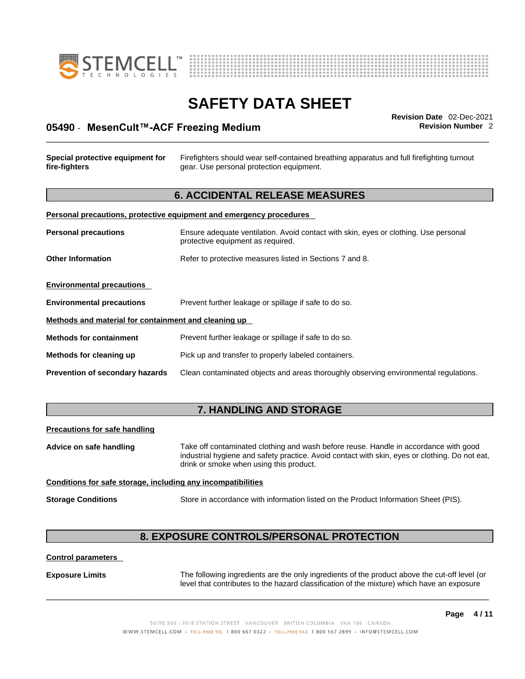



## \_\_\_\_\_\_\_\_\_\_\_\_\_\_\_\_\_\_\_\_\_\_\_\_\_\_\_\_\_\_\_\_\_\_\_\_\_\_\_\_\_\_\_\_\_\_\_\_\_\_\_\_\_\_\_\_\_\_\_\_\_\_\_\_\_\_\_\_\_\_\_\_\_\_\_\_\_\_\_\_\_\_\_\_\_\_\_\_\_\_\_\_\_ **Revision Date** 02-Dec-2021 **05490** - **MesenCult™-ACF Freezing Medium Revision Number** 2

## **Special protective equipment for fire-fighters** Firefighters should wear self-contained breathing apparatus and full firefighting turnout gear. Use personal protection equipment. **6. ACCIDENTAL RELEASE MEASURES Personal precautions, protective equipment and emergency procedures Personal precautions** Ensure adequate ventilation. Avoid contact with skin, eyes or clothing. Use personal protective equipment as required. **Other Information** Refer to protective measures listed in Sections 7 and 8. **Environmental precautions Environmental precautions** Prevent further leakage or spillage if safe to do so. **Methods and material for containment and cleaning up**

**Methods for containment** Prevent further leakage or spillage if safe to do so.

**Methods for cleaning up** Pick up and transfer to properly labeled containers.

**Prevention of secondary hazards** Clean contaminated objects and areas thoroughly observing environmental regulations.

#### **7. HANDLING AND STORAGE**

#### **Precautions for safe handling**

**Advice on safe handling** Take off contaminated clothing and wash before reuse. Handle in accordance with good industrial hygiene and safety practice. Avoid contact with skin, eyes or clothing. Do not eat, drink or smoke when using this product.

#### **Conditions for safe storage, including any incompatibilities**

**Storage Conditions** Store in accordance with information listed on the Product Information Sheet (PIS).

### **8. EXPOSURE CONTROLS/PERSONAL PROTECTION**

#### **Control parameters**

**Exposure Limits** The following ingredients are the only ingredients of the product above the cut-off level (or level that contributes to the hazard classification of the mixture) which have an exposure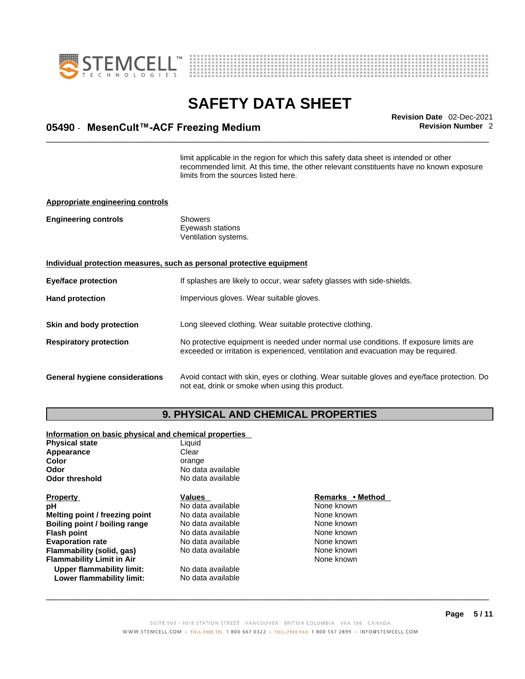



## \_\_\_\_\_\_\_\_\_\_\_\_\_\_\_\_\_\_\_\_\_\_\_\_\_\_\_\_\_\_\_\_\_\_\_\_\_\_\_\_\_\_\_\_\_\_\_\_\_\_\_\_\_\_\_\_\_\_\_\_\_\_\_\_\_\_\_\_\_\_\_\_\_\_\_\_\_\_\_\_\_\_\_\_\_\_\_\_\_\_\_\_\_ **Revision Date** 02-Dec-2021 **05490** - **MesenCult™-ACF Freezing Medium Revision Number** 2

limit applicable in the region for which this safety data sheet is intended or other recommended limit. At this time, the other relevant constituents have no known exposure limits from the sources listed here.

#### **Appropriate engineering controls**

| <b>Engineering controls</b> | Showers              |  |
|-----------------------------|----------------------|--|
|                             | Eyewash stations     |  |
|                             | Ventilation systems. |  |

#### **Individual protection measures, such as personal protective equipment**

| <b>Eye/face protection</b><br>If splashes are likely to occur, wear safety glasses with side-shields. |                                                                                                                                                                             |
|-------------------------------------------------------------------------------------------------------|-----------------------------------------------------------------------------------------------------------------------------------------------------------------------------|
| <b>Hand protection</b><br>Impervious gloves. Wear suitable gloves.                                    |                                                                                                                                                                             |
| Skin and body protection                                                                              | Long sleeved clothing. Wear suitable protective clothing.                                                                                                                   |
| <b>Respiratory protection</b>                                                                         | No protective equipment is needed under normal use conditions. If exposure limits are<br>exceeded or irritation is experienced, ventilation and evacuation may be required. |
| <b>General hygiene considerations</b>                                                                 | Avoid contact with skin, eyes or clothing. Wear suitable gloves and eye/face protection. Do                                                                                 |

#### **9. PHYSICAL AND CHEMICAL PROPERTIES**

not eat, drink or smoke when using this product.

#### **Information on basic physical and chemical properties**

| Appearance<br>Clear<br><b>Color</b><br>orange<br>No data available<br>Odor |  |
|----------------------------------------------------------------------------|--|
|                                                                            |  |
|                                                                            |  |
|                                                                            |  |
| <b>Odor threshold</b><br>No data available                                 |  |
| <b>Property</b><br>Remarks • Method<br><b>Values</b>                       |  |
| No data available<br>None known<br>рH                                      |  |
| None known<br>Melting point / freezing point<br>No data available          |  |
| None known<br>No data available<br>Boiling point / boiling range           |  |
| None known<br>No data available<br><b>Flash point</b>                      |  |
| <b>Evaporation rate</b><br>None known<br>No data available                 |  |
| None known<br>No data available<br>Flammability (solid, gas)               |  |
| None known<br><b>Flammability Limit in Air</b>                             |  |
| Upper flammability limit:<br>No data available                             |  |
| No data available<br>Lower flammability limit:                             |  |

#### **Property Values Remarks • Method None known**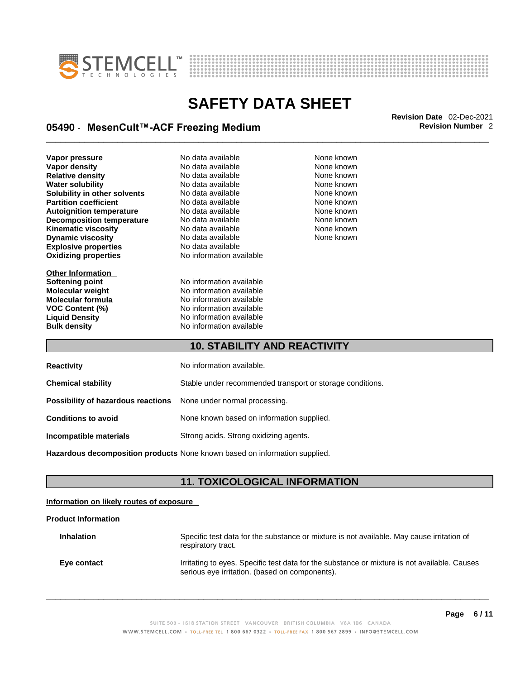



## \_\_\_\_\_\_\_\_\_\_\_\_\_\_\_\_\_\_\_\_\_\_\_\_\_\_\_\_\_\_\_\_\_\_\_\_\_\_\_\_\_\_\_\_\_\_\_\_\_\_\_\_\_\_\_\_\_\_\_\_\_\_\_\_\_\_\_\_\_\_\_\_\_\_\_\_\_\_\_\_\_\_\_\_\_\_\_\_\_\_\_\_\_ **Revision Date** 02-Dec-2021 **05490** - **MesenCult™-ACF Freezing Medium Revision Number** 2

**Explosive properties** No data available **Oxidizing properties** No information available **Vapor pressure No data available Mone known**<br> **Vapor density No data available** Mone known **None known Vapor density** No data available None known **Relative density No data available None known**<br> **Water solubility No data available None known**<br>
No data available **Water solubility** No data available None known **Solubility in other solvents** No data available **None known**<br> **Partition coefficient** No data available None known **Partition coefficient**<br> **Autoignition temperature**<br>
No data available None Known<br>
None known **Autoignition temperature Decomposition temperature** No data available None None known **Kinematic viscosity No data available None known Dynamic viscosity** No data available

**Other Information Molecular formula** 

**Softening point**<br> **Molecular weight**<br> **Molecular weight**<br>
No information available **Molecular weight Molecular in the Solution Available Molecular formula**<br> **Molecular formula No information available VOC Content (%)**<br> **Liquid Density**<br> **No information available Liquid Density Construction Available**<br> **Bulk density Discription Available**<br>
No information available **No information available** 

None known

#### **10. STABILITY AND REACTIVITY**

| <b>Reactivity</b>                                                       | No information available.                                 |
|-------------------------------------------------------------------------|-----------------------------------------------------------|
| <b>Chemical stability</b>                                               | Stable under recommended transport or storage conditions. |
| <b>Possibility of hazardous reactions</b> None under normal processing. |                                                           |
| <b>Conditions to avoid</b>                                              | None known based on information supplied.                 |
| Incompatible materials                                                  | Strong acids. Strong oxidizing agents.                    |

**Hazardous decomposition products** None known based on information supplied.

#### **11. TOXICOLOGICAL INFORMATION**

#### **Information on likely routes of exposure**

#### **Product Information**

| <b>Inhalation</b> | Specific test data for the substance or mixture is not available. May cause irritation of<br>respiratory tract.                                |
|-------------------|------------------------------------------------------------------------------------------------------------------------------------------------|
| Eve contact       | Irritating to eyes. Specific test data for the substance or mixture is not available. Causes<br>serious eye irritation. (based on components). |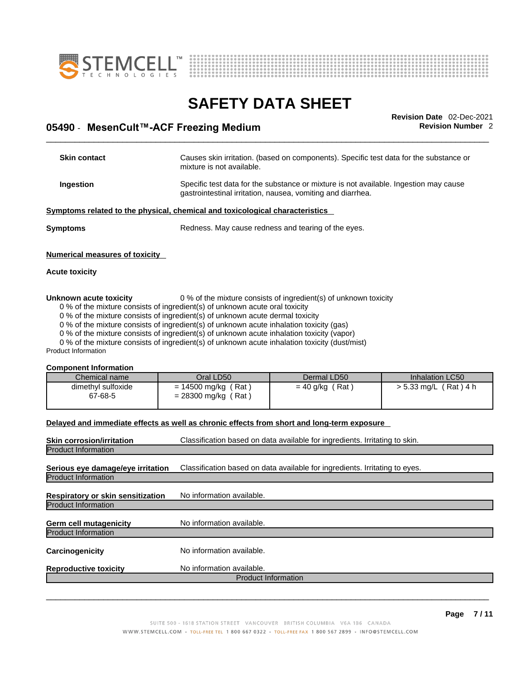



## \_\_\_\_\_\_\_\_\_\_\_\_\_\_\_\_\_\_\_\_\_\_\_\_\_\_\_\_\_\_\_\_\_\_\_\_\_\_\_\_\_\_\_\_\_\_\_\_\_\_\_\_\_\_\_\_\_\_\_\_\_\_\_\_\_\_\_\_\_\_\_\_\_\_\_\_\_\_\_\_\_\_\_\_\_\_\_\_\_\_\_\_\_ **Revision Date** 02-Dec-2021 **05490** - **MesenCult™-ACF Freezing Medium Revision Number** 2

| <b>Skin contact</b>            | Causes skin irritation. (based on components). Specific test data for the substance or<br>mixture is not available.                                  |  |
|--------------------------------|------------------------------------------------------------------------------------------------------------------------------------------------------|--|
| Ingestion                      | Specific test data for the substance or mixture is not available. Ingestion may cause<br>gastrointestinal irritation, nausea, vomiting and diarrhea. |  |
|                                | Symptoms related to the physical, chemical and toxicological characteristics                                                                         |  |
| Symptoms                       | Redness. May cause redness and tearing of the eyes.                                                                                                  |  |
| Numerical measures of toxicity |                                                                                                                                                      |  |

#### **Acute toxicity**

#### **Unknown acute toxicity** 0 % of the mixture consists of ingredient(s) of unknown toxicity

0 % of the mixture consists of ingredient(s) of unknown acute oral toxicity

0 % of the mixture consists of ingredient(s) of unknown acute dermal toxicity

0 % of the mixture consists of ingredient(s) of unknown acute inhalation toxicity (gas)

0 % of the mixture consists of ingredient(s) of unknown acute inhalation toxicity (vapor)

0 % of the mixture consists of ingredient(s) of unknown acute inhalation toxicity (dust/mist)

Product Information

#### **Component Information**

| Chemical name<br>Inhalation LC50<br>Oral LD50<br>Dermal LD50<br>dimethyl sulfoxide<br>$= 40$ g/kg (Rat)<br>$> 5.33$ mg/L (Rat) 4 h<br>= 14500 mg/kg (Rat)<br>$= 28300$ mg/kg (<br>67-68-5<br>′ Rat |  |  |  |
|----------------------------------------------------------------------------------------------------------------------------------------------------------------------------------------------------|--|--|--|
|                                                                                                                                                                                                    |  |  |  |
|                                                                                                                                                                                                    |  |  |  |

#### **Delayed and immediate effects as well as chronic effects from short and long-term exposure**

| <b>Skin corrosion/irritation</b><br>Classification based on data available for ingredients. Irritating to skin. |                                                                             |  |
|-----------------------------------------------------------------------------------------------------------------|-----------------------------------------------------------------------------|--|
| <b>Product Information</b>                                                                                      |                                                                             |  |
| Serious eye damage/eye irritation<br><b>Product Information</b>                                                 | Classification based on data available for ingredients. Irritating to eyes. |  |
| Respiratory or skin sensitization                                                                               | No information available.                                                   |  |
| <b>Product Information</b>                                                                                      |                                                                             |  |
| <b>Germ cell mutagenicity</b>                                                                                   | No information available.                                                   |  |
| <b>Product Information</b>                                                                                      |                                                                             |  |
| Carcinogenicity                                                                                                 | No information available.                                                   |  |
| <b>Reproductive toxicity</b>                                                                                    | No information available.                                                   |  |
|                                                                                                                 | <b>Product Information</b>                                                  |  |
|                                                                                                                 |                                                                             |  |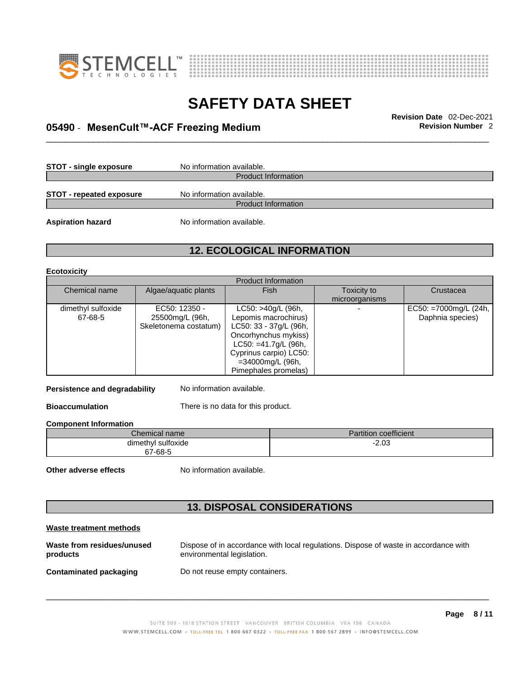



## \_\_\_\_\_\_\_\_\_\_\_\_\_\_\_\_\_\_\_\_\_\_\_\_\_\_\_\_\_\_\_\_\_\_\_\_\_\_\_\_\_\_\_\_\_\_\_\_\_\_\_\_\_\_\_\_\_\_\_\_\_\_\_\_\_\_\_\_\_\_\_\_\_\_\_\_\_\_\_\_\_\_\_\_\_\_\_\_\_\_\_\_\_ **Revision Date** 02-Dec-2021 **05490** - **MesenCult™-ACF Freezing Medium Revision Number** 2

**STOT** - single exposure No information available.

Product Information

**STOT** - **repeated exposure** No information available.

Product Information

**Aspiration hazard** No information available.

### **12. ECOLOGICAL INFORMATION**

#### **Ecotoxicity**

| <b>Product Information</b> |                       |                         |                |                       |
|----------------------------|-----------------------|-------------------------|----------------|-----------------------|
| Chemical name              | Algae/aquatic plants  | Fish                    | Toxicity to    | Crustacea             |
|                            |                       |                         | microorganisms |                       |
| dimethyl sulfoxide         | EC50: 12350 -         | LC50: >40g/L (96h,      |                | EC50: =7000mg/L (24h, |
| 67-68-5                    | 25500mg/L (96h,       | Lepomis macrochirus)    |                | Daphnia species)      |
|                            | Skeletonema costatum) | LC50: 33 - 37g/L (96h,  |                |                       |
|                            |                       | Oncorhynchus mykiss)    |                |                       |
|                            |                       | $LC50: = 41.7g/L$ (96h, |                |                       |
|                            |                       | Cyprinus carpio) LC50:  |                |                       |
|                            |                       | =34000mg/L (96h,        |                |                       |
|                            |                       | Pimephales promelas)    |                |                       |

**Persistence and degradability** No information available.

**Bioaccumulation** There is no data for this product.

**Component Information**

| Chemical name          | $\cdots$<br><b>STATISTICS</b><br>artition coefficient |
|------------------------|-------------------------------------------------------|
| <br>dimethyl sulfoxide | $-2.03$<br>$ -$                                       |
| 67-68-5                |                                                       |

**Other adverse effects** No information available.

### **13. DISPOSAL CONSIDERATIONS**

| Waste treatment methods                |                                                                                                                    |
|----------------------------------------|--------------------------------------------------------------------------------------------------------------------|
| Waste from residues/unused<br>products | Dispose of in accordance with local regulations. Dispose of waste in accordance with<br>environmental legislation. |
| Contaminated packaging                 | Do not reuse empty containers.                                                                                     |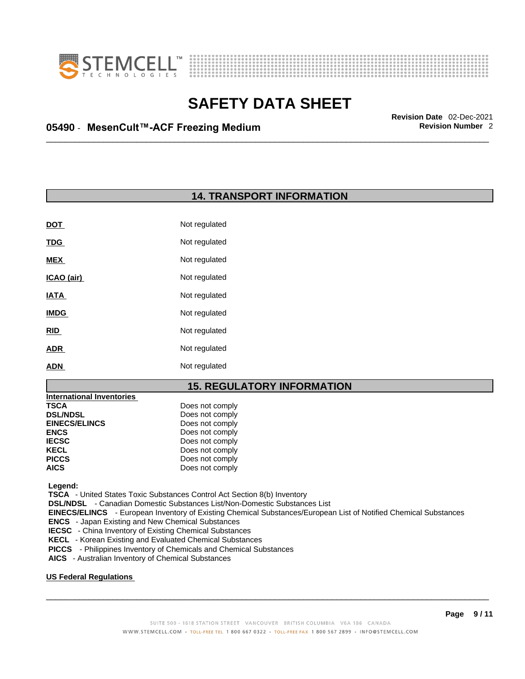



## \_\_\_\_\_\_\_\_\_\_\_\_\_\_\_\_\_\_\_\_\_\_\_\_\_\_\_\_\_\_\_\_\_\_\_\_\_\_\_\_\_\_\_\_\_\_\_\_\_\_\_\_\_\_\_\_\_\_\_\_\_\_\_\_\_\_\_\_\_\_\_\_\_\_\_\_\_\_\_\_\_\_\_\_\_\_\_\_\_\_\_\_\_ **Revision Date** 02-Dec-2021 **05490** - **MesenCult™-ACF Freezing Medium Revision Number** 2

**14. TRANSPORT INFORMATION** 

| <b>DOT</b>  | Not regulated |
|-------------|---------------|
| <b>TDG</b>  | Not regulated |
| <b>MEX</b>  | Not regulated |
| ICAO (air)  | Not regulated |
| <b>IATA</b> | Not regulated |
| <b>IMDG</b> | Not regulated |
| <b>RID</b>  | Not regulated |
| <b>ADR</b>  | Not regulated |
| ADN         | Not regulated |
|             |               |

#### **15. REGULATORY INFORMATION**

| <b>International Inventories</b> |                 |  |
|----------------------------------|-----------------|--|
| <b>TSCA</b>                      | Does not comply |  |
| <b>DSL/NDSL</b>                  | Does not comply |  |
| <b>EINECS/ELINCS</b>             | Does not comply |  |
| <b>ENCS</b>                      | Does not comply |  |
| <b>IECSC</b>                     | Does not comply |  |
| <b>KECL</b>                      | Does not comply |  |
| <b>PICCS</b>                     | Does not comply |  |
| <b>AICS</b>                      | Does not comply |  |
|                                  |                 |  |

 **Legend:** 

 **TSCA** - United States Toxic Substances Control Act Section 8(b) Inventory

 **DSL/NDSL** - Canadian Domestic Substances List/Non-Domestic Substances List

 **EINECS/ELINCS** - European Inventory of Existing Chemical Substances/European List of Notified Chemical Substances

 **ENCS** - Japan Existing and New Chemical Substances

 **IECSC** - China Inventory of Existing Chemical Substances

 **KECL** - Korean Existing and Evaluated Chemical Substances

 **PICCS** - Philippines Inventory of Chemicals and Chemical Substances

 **AICS** - Australian Inventory of Chemical Substances

#### **US Federal Regulations**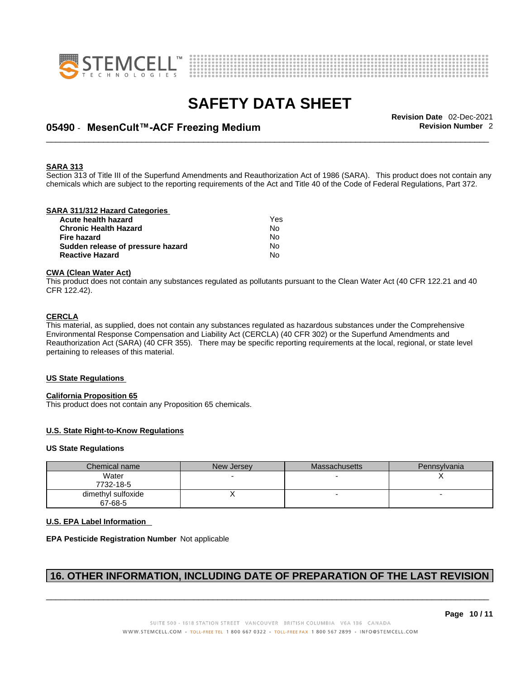



## \_\_\_\_\_\_\_\_\_\_\_\_\_\_\_\_\_\_\_\_\_\_\_\_\_\_\_\_\_\_\_\_\_\_\_\_\_\_\_\_\_\_\_\_\_\_\_\_\_\_\_\_\_\_\_\_\_\_\_\_\_\_\_\_\_\_\_\_\_\_\_\_\_\_\_\_\_\_\_\_\_\_\_\_\_\_\_\_\_\_\_\_\_ **Revision Date** 02-Dec-2021 **05490** - **MesenCult™-ACF Freezing Medium Revision Number** 2

#### **SARA 313**

Section 313 of Title III of the Superfund Amendments and Reauthorization Act of 1986 (SARA). This product does not contain any chemicals which are subject to the reporting requirements of the Act and Title 40 of the Code of Federal Regulations, Part 372.

#### **SARA 311/312 Hazard Categories**

| Acute health hazard               | Yes |  |
|-----------------------------------|-----|--|
| Chronic Health Hazard             | N٥  |  |
| Fire hazard                       | N٥  |  |
| Sudden release of pressure hazard | Nο  |  |
| <b>Reactive Hazard</b>            | N٥  |  |

#### **CWA** (Clean Water Act)

This product does not contain any substances regulated as pollutants pursuant to the Clean Water Act (40 CFR 122.21 and 40 CFR 122.42).

#### **CERCLA**

This material, as supplied, does not contain any substances regulated as hazardous substances under the Comprehensive Environmental Response Compensation and Liability Act (CERCLA) (40 CFR 302) or the Superfund Amendments and Reauthorization Act (SARA) (40 CFR 355). There may be specific reporting requirements at the local, regional, or state level pertaining to releases of this material.

#### **US State Regulations**

#### **California Proposition 65**

This product does not contain any Proposition 65 chemicals.

#### **U.S. State Right-to-Know Regulations**

#### **US State Regulations**

| Chemical name                 | New Jersey | Massachusetts | Pennsylvania |
|-------------------------------|------------|---------------|--------------|
| Water<br>7732-18-5            |            |               |              |
| dimethyl sulfoxide<br>67-68-5 |            |               |              |

#### **U.S. EPA Label Information**

#### **EPA Pesticide Registration Number** Not applicable

### **16. OTHER INFORMATION, INCLUDING DATE OF PREPARATION OF THE LAST REVISION**